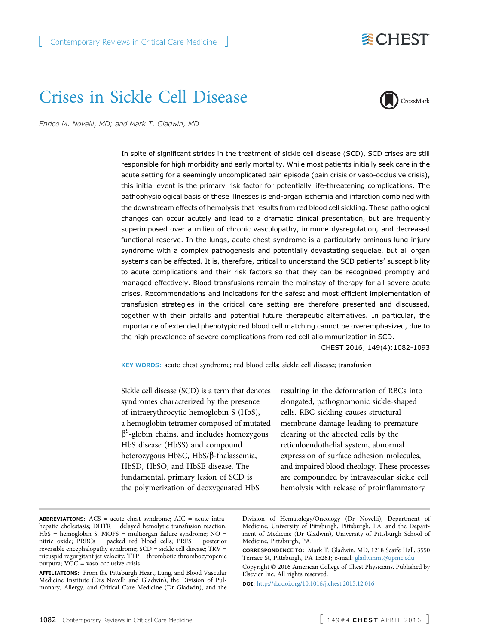## **委CHEST**

# Crises in Sickle Cell Disease



Enrico M. Novelli, MD; and Mark T. Gladwin, MD

In spite of significant strides in the treatment of sickle cell disease (SCD), SCD crises are still responsible for high morbidity and early mortality. While most patients initially seek care in the acute setting for a seemingly uncomplicated pain episode (pain crisis or vaso-occlusive crisis), this initial event is the primary risk factor for potentially life-threatening complications. The pathophysiological basis of these illnesses is end-organ ischemia and infarction combined with the downstream effects of hemolysis that results from red blood cell sickling. These pathological changes can occur acutely and lead to a dramatic clinical presentation, but are frequently superimposed over a milieu of chronic vasculopathy, immune dysregulation, and decreased functional reserve. In the lungs, acute chest syndrome is a particularly ominous lung injury syndrome with a complex pathogenesis and potentially devastating sequelae, but all organ systems can be affected. It is, therefore, critical to understand the SCD patients' susceptibility to acute complications and their risk factors so that they can be recognized promptly and managed effectively. Blood transfusions remain the mainstay of therapy for all severe acute crises. Recommendations and indications for the safest and most efficient implementation of transfusion strategies in the critical care setting are therefore presented and discussed, together with their pitfalls and potential future therapeutic alternatives. In particular, the importance of extended phenotypic red blood cell matching cannot be overemphasized, due to the high prevalence of severe complications from red cell alloimmunization in SCD.

CHEST 2016; 149(4):1082-1093

KEY WORDS: acute chest syndrome; red blood cells; sickle cell disease; transfusion

Sickle cell disease (SCD) is a term that denotes syndromes characterized by the presence of intraerythrocytic hemoglobin S (HbS), a hemoglobin tetramer composed of mutated  $\beta$ <sup>S</sup>-globin chains, and includes homozygous HbS disease (HbSS) and compound heterozygous HbSC, HbS/β-thalassemia, HbSD, HbSO, and HbSE disease. The fundamental, primary lesion of SCD is the polymerization of deoxygenated HbS

resulting in the deformation of RBCs into elongated, pathognomonic sickle-shaped cells. RBC sickling causes structural membrane damage leading to premature clearing of the affected cells by the reticuloendothelial system, abnormal expression of surface adhesion molecules, and impaired blood rheology. These processes are compounded by intravascular sickle cell hemolysis with release of proinflammatory

Copyright © 2016 American College of Chest Physicians. Published by Elsevier Inc. All rights reserved.

DOI: <http://dx.doi.org/10.1016/j.chest.2015.12.016>

ABBREVIATIONS:  $ACS$  = acute chest syndrome;  $AIC$  = acute intrahepatic cholestasis; DHTR = delayed hemolytic transfusion reaction; HbS = hemoglobin S; MOFS = multiorgan failure syndrome; NO = nitric oxide; PRBCs = packed red blood cells; PRES = posterior reversible encephalopathy syndrome; SCD = sickle cell disease; TRV = tricuspid regurgitant jet velocity; TTP = thrombotic thrombocytopenic purpura; VOC = vaso-occlusive crisis

AFFILIATIONS: From the Pittsburgh Heart, Lung, and Blood Vascular Medicine Institute (Drs Novelli and Gladwin), the Division of Pulmonary, Allergy, and Critical Care Medicine (Dr Gladwin), and the

Division of Hematology/Oncology (Dr Novelli), Department of Medicine, University of Pittsburgh, Pittsburgh, PA; and the Department of Medicine (Dr Gladwin), University of Pittsburgh School of Medicine, Pittsburgh, PA.

CORRESPONDENCE TO: Mark T. Gladwin, MD, 1218 Scaife Hall, 3550 Terrace St, Pittsburgh, PA 15261; e-mail: [gladwinmt@upmc.edu](mailto:gladwinmt@upmc.edu)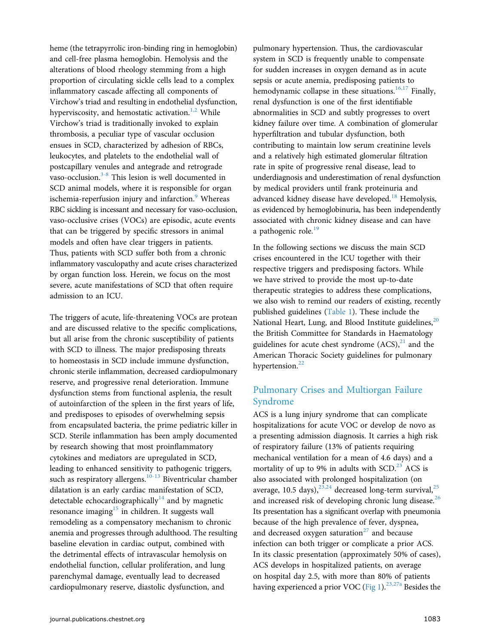heme (the tetrapyrrolic iron-binding ring in hemoglobin) and cell-free plasma hemoglobin. Hemolysis and the alterations of blood rheology stemming from a high proportion of circulating sickle cells lead to a complex inflammatory cascade affecting all components of Virchow's triad and resulting in endothelial dysfunction, hyperviscosity, and hemostatic activation.<sup>[1,2](#page-8-0)</sup> While Virchow's triad is traditionally invoked to explain thrombosis, a peculiar type of vascular occlusion ensues in SCD, characterized by adhesion of RBCs, leukocytes, and platelets to the endothelial wall of postcapillary venules and antegrade and retrograde vaso-occlusion.<sup>[3-8](#page-8-0)</sup> This lesion is well documented in SCD animal models, where it is responsible for organ ischemia-reperfusion injury and infarction.<sup>[9](#page-9-0)</sup> Whereas RBC sickling is incessant and necessary for vaso-occlusion, vaso-occlusive crises (VOCs) are episodic, acute events that can be triggered by specific stressors in animal models and often have clear triggers in patients. Thus, patients with SCD suffer both from a chronic inflammatory vasculopathy and acute crises characterized by organ function loss. Herein, we focus on the most severe, acute manifestations of SCD that often require admission to an ICU.

The triggers of acute, life-threatening VOCs are protean and are discussed relative to the specific complications, but all arise from the chronic susceptibility of patients with SCD to illness. The major predisposing threats to homeostasis in SCD include immune dysfunction, chronic sterile inflammation, decreased cardiopulmonary reserve, and progressive renal deterioration. Immune dysfunction stems from functional asplenia, the result of autoinfarction of the spleen in the first years of life, and predisposes to episodes of overwhelming sepsis from encapsulated bacteria, the prime pediatric killer in SCD. Sterile inflammation has been amply documented by research showing that most proinflammatory cytokines and mediators are upregulated in SCD, leading to enhanced sensitivity to pathogenic triggers, such as respiratory allergens.<sup>[10-13](#page-9-0)</sup> Biventricular chamber dilatation is an early cardiac manifestation of SCD, detectable echocardiographically $14$  and by magnetic resonance imaging $15$  in children. It suggests wall remodeling as a compensatory mechanism to chronic anemia and progresses through adulthood. The resulting baseline elevation in cardiac output, combined with the detrimental effects of intravascular hemolysis on endothelial function, cellular proliferation, and lung parenchymal damage, eventually lead to decreased cardiopulmonary reserve, diastolic dysfunction, and

pulmonary hypertension. Thus, the cardiovascular system in SCD is frequently unable to compensate for sudden increases in oxygen demand as in acute sepsis or acute anemia, predisposing patients to hemodynamic collapse in these situations.<sup>[16,17](#page-9-0)</sup> Finally, renal dysfunction is one of the first identifiable abnormalities in SCD and subtly progresses to overt kidney failure over time. A combination of glomerular hyperfiltration and tubular dysfunction, both contributing to maintain low serum creatinine levels and a relatively high estimated glomerular filtration rate in spite of progressive renal disease, lead to underdiagnosis and underestimation of renal dysfunction by medical providers until frank proteinuria and advanced kidney disease have developed.<sup>[18](#page-9-0)</sup> Hemolysis, as evidenced by hemoglobinuria, has been independently associated with chronic kidney disease and can have a pathogenic role.<sup>[19](#page-9-0)</sup>

In the following sections we discuss the main SCD crises encountered in the ICU together with their respective triggers and predisposing factors. While we have strived to provide the most up-to-date therapeutic strategies to address these complications, we also wish to remind our readers of existing, recently published guidelines ([Table 1\)](#page-2-0). These include the National Heart, Lung, and Blood Institute guidelines,<sup>[20](#page-9-0)</sup> the British Committee for Standards in Haematology guidelines for acute chest syndrome  $(ACS)^{21}$  $(ACS)^{21}$  $(ACS)^{21}$  and the American Thoracic Society guidelines for pulmonary hypertension.<sup>[22](#page-9-0)</sup>

## Pulmonary Crises and Multiorgan Failure Syndrome

ACS is a lung injury syndrome that can complicate hospitalizations for acute VOC or develop de novo as a presenting admission diagnosis. It carries a high risk of respiratory failure (13% of patients requiring mechanical ventilation for a mean of 4.6 days) and a mortality of up to 9% in adults with  $SCD<sup>23</sup>$  $SCD<sup>23</sup>$  $SCD<sup>23</sup>$  ACS is also associated with prolonged hospitalization (on average, 10.5 days), $^{23,24}$  $^{23,24}$  $^{23,24}$  decreased long-term survival, $^{25}$  $^{25}$  $^{25}$ and increased risk of developing chronic lung disease.<sup>[26](#page-9-0)</sup> Its presentation has a significant overlap with pneumonia because of the high prevalence of fever, dyspnea, and decreased oxygen saturation<sup>[27](#page-9-0)</sup> and because infection can both trigger or complicate a prior ACS. In its classic presentation (approximately 50% of cases), ACS develops in hospitalized patients, on average on hospital day 2.5, with more than 80% of patients having experienced a prior VOC [\(Fig 1\)](#page-3-0).<sup>[23,27a](#page-9-0)</sup> Besides the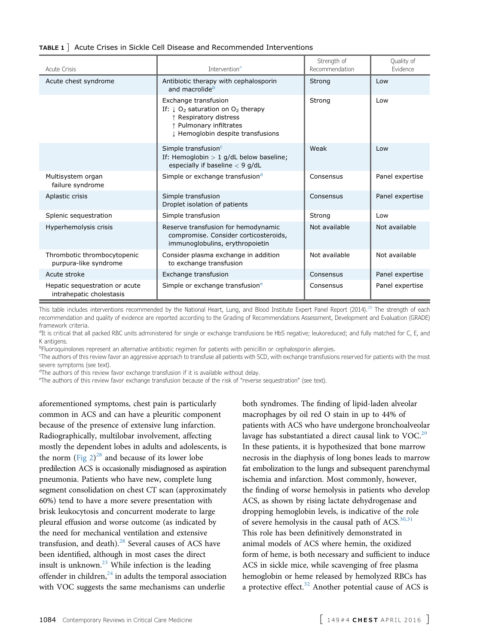#### <span id="page-2-0"></span>TABLE 1 ] Acute Crises in Sickle Cell Disease and Recommended Interventions

| <b>Acute Crisis</b>                                        | Intervention <sup>a</sup>                                                                                                                                                              | Strength of<br>Recommendation | Quality of<br>Evidence |
|------------------------------------------------------------|----------------------------------------------------------------------------------------------------------------------------------------------------------------------------------------|-------------------------------|------------------------|
| Acute chest syndrome                                       | Antibiotic therapy with cephalosporin<br>and macrolide <sup>b</sup>                                                                                                                    | Strong                        | Low                    |
|                                                            | Exchange transfusion<br>If: $\downarrow$ O <sub>2</sub> saturation on O <sub>2</sub> therapy<br>↑ Respiratory distress<br>↑ Pulmonary infiltrates<br>I Hemoglobin despite transfusions | Strong                        | Low                    |
|                                                            | Simple transfusion <sup>c</sup><br>If: Hemoglobin $> 1$ g/dL below baseline;<br>especially if baseline $<$ 9 g/dL                                                                      | Weak                          | Low                    |
| Multisystem organ<br>failure syndrome                      | Simple or exchange transfusion <sup>d</sup>                                                                                                                                            | Consensus                     | Panel expertise        |
| Aplastic crisis                                            | Simple transfusion<br>Droplet isolation of patients                                                                                                                                    | Consensus                     | Panel expertise        |
| Splenic sequestration                                      | Simple transfusion                                                                                                                                                                     | Strong                        | Low                    |
| Hyperhemolysis crisis                                      | Reserve transfusion for hemodynamic<br>compromise. Consider corticosteroids,<br>immunoglobulins, erythropoietin                                                                        | Not available                 | Not available          |
| Thrombotic thrombocytopenic<br>purpura-like syndrome       | Consider plasma exchange in addition<br>to exchange transfusion                                                                                                                        | Not available                 | Not available          |
| Acute stroke                                               | Exchange transfusion                                                                                                                                                                   | Consensus                     | Panel expertise        |
| Hepatic sequestration or acute<br>intrahepatic cholestasis | Simple or exchange transfusion <sup>e</sup>                                                                                                                                            | Consensus                     | Panel expertise        |

This table includes interventions recommended by the National Heart, Lung, and Blood Institute Expert Panel Report (2014).<sup>20</sup> The strength of each recommendation and quality of evidence are reported according to the Grading of Recommendations Assessment, Development and Evaluation (GRADE) framework criteria.

<sup>a</sup>It is critical that all packed RBC units administered for single or exchange transfusions be HbS negative; leukoreduced; and fully matched for C, E, and K antigens.

b Fluoroquinolones represent an alternative antibiotic regimen for patients with penicillin or cephalosporin allergies.

<sup>c</sup>The authors of this review favor an aggressive approach to transfuse all patients with SCD, with exchange transfusions reserved for patients with the most severe symptoms (see text).

<sup>d</sup>The authors of this review favor exchange transfusion if it is available without delay.

e The authors of this review favor exchange transfusion because of the risk of "reverse sequestration" (see text).

aforementioned symptoms, chest pain is particularly common in ACS and can have a pleuritic component because of the presence of extensive lung infarction. Radiographically, multilobar involvement, affecting mostly the dependent lobes in adults and adolescents, is the norm (Fig  $2)^{28}$  $2)^{28}$  $2)^{28}$  and because of its lower lobe predilection ACS is occasionally misdiagnosed as aspiration pneumonia. Patients who have new, complete lung segment consolidation on chest CT scan (approximately 60%) tend to have a more severe presentation with brisk leukocytosis and concurrent moderate to large pleural effusion and worse outcome (as indicated by the need for mechanical ventilation and extensive transfusion, and death). $28$  Several causes of ACS have been identified, although in most cases the direct insult is unknown. $^{23}$  $^{23}$  $^{23}$  While infection is the leading offender in children, $^{24}$  $^{24}$  $^{24}$  in adults the temporal association with VOC suggests the same mechanisms can underlie

both syndromes. The finding of lipid-laden alveolar macrophages by oil red O stain in up to 44% of patients with ACS who have undergone bronchoalveolar lavage has substantiated a direct causal link to  $VOC<sup>29</sup>$  $VOC<sup>29</sup>$  $VOC<sup>29</sup>$ In these patients, it is hypothesized that bone marrow necrosis in the diaphysis of long bones leads to marrow fat embolization to the lungs and subsequent parenchymal ischemia and infarction. Most commonly, however, the finding of worse hemolysis in patients who develop ACS, as shown by rising lactate dehydrogenase and dropping hemoglobin levels, is indicative of the role of severe hemolysis in the causal path of  $ACS$ .  $30,31$ This role has been definitively demonstrated in animal models of ACS where hemin, the oxidized form of heme, is both necessary and sufficient to induce ACS in sickle mice, while scavenging of free plasma hemoglobin or heme released by hemolyzed RBCs has a protective effect. $32$  Another potential cause of ACS is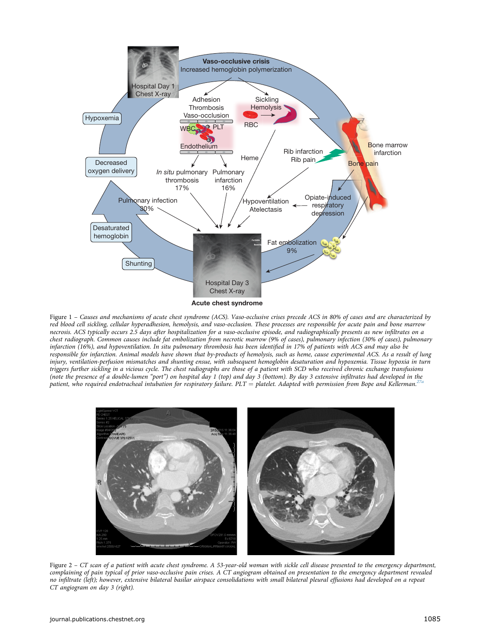<span id="page-3-0"></span>

Figure 1 – Causes and mechanisms of acute chest syndrome (ACS). Vaso-occlusive crises precede ACS in 80% of cases and are characterized by red blood cell sickling, cellular hyperadhesion, hemolysis, and vaso-occlusion. These processes are responsible for acute pain and bone marrow necrosis. ACS typically occurs 2.5 days after hospitalization for a vaso-occlusive episode, and radiographically presents as new infiltrates on a chest radiograph. Common causes include fat embolization from necrotic marrow (9% of cases), pulmonary infection (30% of cases), pulmonary infarction (16%), and hypoventilation. In situ pulmonary thrombosis has been identified in 17% of patients with ACS and may also be responsible for infarction. Animal models have shown that by-products of hemolysis, such as heme, cause experimental ACS. As a result of lung injury, ventilation-perfusion mismatches and shunting ensue, with subsequent hemoglobin desaturation and hypoxemia. Tissue hypoxia in turn triggers further sickling in a vicious cycle. The chest radiographs are those of a patient with SCD who received chronic exchange transfusions (note the presence of a double-lumen "port") on hospital day 1 (top) and day 3 (bottom). By day 3 extensive infiltrates had developed in the patient, who required endotracheal intubation for respiratory failure.  $PLT =$  platelet. Adapted with permission from Bope and Kellerman.<sup>27</sup>



Figure 2 – CT scan of a patient with acute chest syndrome. A 53-year-old woman with sickle cell disease presented to the emergency department, complaining of pain typical of prior vaso-occlusive pain crises. A CT angiogram obtained on presentation to the emergency department revealed no infiltrate (left); however, extensive bilateral basilar airspace consolidations with small bilateral pleural effusions had developed on a repeat CT angiogram on day 3 (right).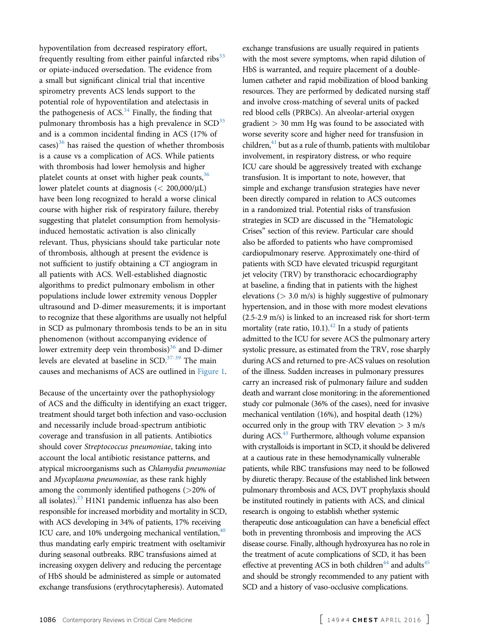hypoventilation from decreased respiratory effort, frequently resulting from either painful infarcted ribs $33$ or opiate-induced oversedation. The evidence from a small but significant clinical trial that incentive spirometry prevents ACS lends support to the potential role of hypoventilation and atelectasis in the pathogenesis of ACS. $34$  Finally, the finding that pulmonary thrombosis has a high prevalence in  $SCD<sup>35</sup>$  $SCD<sup>35</sup>$  $SCD<sup>35</sup>$ and is a common incidental finding in ACS (17% of  $\csc s$ <sup>[36](#page-9-0)</sup> has raised the question of whether thrombosis is a cause vs a complication of ACS. While patients with thrombosis had lower hemolysis and higher platelet counts at onset with higher peak counts,<sup>36</sup> lower platelet counts at diagnosis  $\langle$  < 200,000/ $\mu$ L) have been long recognized to herald a worse clinical course with higher risk of respiratory failure, thereby suggesting that platelet consumption from hemolysisinduced hemostatic activation is also clinically relevant. Thus, physicians should take particular note of thrombosis, although at present the evidence is not sufficient to justify obtaining a CT angiogram in all patients with ACS. Well-established diagnostic algorithms to predict pulmonary embolism in other populations include lower extremity venous Doppler ultrasound and D-dimer measurements; it is important to recognize that these algorithms are usually not helpful in SCD as pulmonary thrombosis tends to be an in situ phenomenon (without accompanying evidence of lower extremity deep vein thrombosis) $36$  and D-dimer levels are elevated at baseline in SCD.<sup>37-39</sup> The main causes and mechanisms of ACS are outlined in [Figure 1.](#page-3-0)

Because of the uncertainty over the pathophysiology of ACS and the difficulty in identifying an exact trigger, treatment should target both infection and vaso-occlusion and necessarily include broad-spectrum antibiotic coverage and transfusion in all patients. Antibiotics should cover Streptococcus pneumoniae, taking into account the local antibiotic resistance patterns, and atypical microorganisms such as Chlamydia pneumoniae and Mycoplasma pneumoniae, as these rank highly among the commonly identified pathogens (>20% of all isolates). $^{23}$  $^{23}$  $^{23}$  H1N1 pandemic influenza has also been responsible for increased morbidity and mortality in SCD, with ACS developing in 34% of patients, 17% receiving ICU care, and  $10\%$  undergoing mechanical ventilation,  $40$ thus mandating early empiric treatment with oseltamivir during seasonal outbreaks. RBC transfusions aimed at increasing oxygen delivery and reducing the percentage of HbS should be administered as simple or automated exchange transfusions (erythrocytapheresis). Automated

exchange transfusions are usually required in patients with the most severe symptoms, when rapid dilution of HbS is warranted, and require placement of a doublelumen catheter and rapid mobilization of blood banking resources. They are performed by dedicated nursing staff and involve cross-matching of several units of packed red blood cells (PRBCs). An alveolar-arterial oxygen gradient > 30 mm Hg was found to be associated with worse severity score and higher need for transfusion in children, $41$  but as a rule of thumb, patients with multilobar involvement, in respiratory distress, or who require ICU care should be aggressively treated with exchange transfusion. It is important to note, however, that simple and exchange transfusion strategies have never been directly compared in relation to ACS outcomes in a randomized trial. Potential risks of transfusion strategies in SCD are discussed in the "Hematologic Crises" section of this review. Particular care should also be afforded to patients who have compromised cardiopulmonary reserve. Approximately one-third of patients with SCD have elevated tricuspid regurgitant jet velocity (TRV) by transthoracic echocardiography at baseline, a finding that in patients with the highest elevations ( $> 3.0$  m/s) is highly suggestive of pulmonary hypertension, and in those with more modest elevations (2.5-2.9 m/s) is linked to an increased risk for short-term mortality (rate ratio,  $10.1$ ).<sup>[42](#page-9-0)</sup> In a study of patients admitted to the ICU for severe ACS the pulmonary artery systolic pressure, as estimated from the TRV, rose sharply during ACS and returned to pre-ACS values on resolution of the illness. Sudden increases in pulmonary pressures carry an increased risk of pulmonary failure and sudden death and warrant close monitoring: in the aforementioned study cor pulmonale (36% of the cases), need for invasive mechanical ventilation (16%), and hospital death (12%) occurred only in the group with TRV elevation  $> 3$  m/s during  $ACS$ <sup>43</sup> Furthermore, although volume expansion with crystalloids is important in SCD, it should be delivered at a cautious rate in these hemodynamically vulnerable patients, while RBC transfusions may need to be followed by diuretic therapy. Because of the established link between pulmonary thrombosis and ACS, DVT prophylaxis should be instituted routinely in patients with ACS, and clinical research is ongoing to establish whether systemic therapeutic dose anticoagulation can have a beneficial effect both in preventing thrombosis and improving the ACS disease course. Finally, although hydroxyurea has no role in the treatment of acute complications of SCD, it has been effective at preventing ACS in both children<sup>44</sup> and adults<sup>45</sup> and should be strongly recommended to any patient with SCD and a history of vaso-occlusive complications.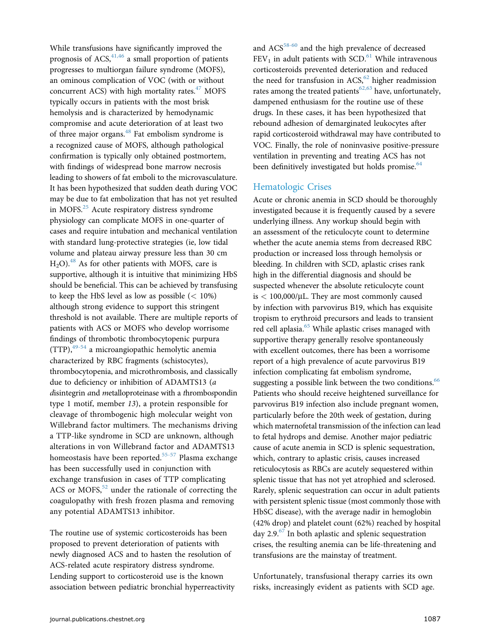While transfusions have significantly improved the prognosis of ACS,  $41,46$  a small proportion of patients progresses to multiorgan failure syndrome (MOFS), an ominous complication of VOC (with or without concurrent ACS) with high mortality rates. $47$  MOFS typically occurs in patients with the most brisk hemolysis and is characterized by hemodynamic compromise and acute deterioration of at least two of three major organs.<sup>[48](#page-9-0)</sup> Fat embolism syndrome is a recognized cause of MOFS, although pathological confirmation is typically only obtained postmortem, with findings of widespread bone marrow necrosis leading to showers of fat emboli to the microvasculature. It has been hypothesized that sudden death during VOC may be due to fat embolization that has not yet resulted in MOFS.<sup>[25](#page-9-0)</sup> Acute respiratory distress syndrome physiology can complicate MOFS in one-quarter of cases and require intubation and mechanical ventilation with standard lung-protective strategies (ie, low tidal volume and plateau airway pressure less than 30 cm  $H<sub>2</sub>O$ .<sup>[48](#page-9-0)</sup> As for other patients with MOFS, care is supportive, although it is intuitive that minimizing HbS should be beneficial. This can be achieved by transfusing to keep the HbS level as low as possible  $(< 10\%)$ although strong evidence to support this stringent threshold is not available. There are multiple reports of patients with ACS or MOFS who develop worrisome findings of thrombotic thrombocytopenic purpura (TTP),[49-54](#page-10-0) a microangiopathic hemolytic anemia characterized by RBC fragments (schistocytes), thrombocytopenia, and microthrombosis, and classically due to deficiency or inhibition of ADAMTS13 (a disintegrin and metalloproteinase with a thrombospondin type 1 motif, member 13), a protein responsible for cleavage of thrombogenic high molecular weight von Willebrand factor multimers. The mechanisms driving a TTP-like syndrome in SCD are unknown, although alterations in von Willebrand factor and ADAMTS13 homeostasis have been reported.<sup>[55-57](#page-10-0)</sup> Plasma exchange has been successfully used in conjunction with exchange transfusion in cases of TTP complicating ACS or MOFS, $52$  under the rationale of correcting the coagulopathy with fresh frozen plasma and removing any potential ADAMTS13 inhibitor.

The routine use of systemic corticosteroids has been proposed to prevent deterioration of patients with newly diagnosed ACS and to hasten the resolution of ACS-related acute respiratory distress syndrome. Lending support to corticosteroid use is the known association between pediatric bronchial hyperreactivity and ACS<sup>[58-60](#page-10-0)</sup> and the high prevalence of decreased  $FEV<sub>1</sub>$  in adult patients with SCD.<sup>[61](#page-10-0)</sup> While intravenous corticosteroids prevented deterioration and reduced the need for transfusion in  $ACS<sub>0</sub><sup>62</sup>$  $ACS<sub>0</sub><sup>62</sup>$  $ACS<sub>0</sub><sup>62</sup>$  higher readmission rates among the treated patients<sup>[62,63](#page-10-0)</sup> have, unfortunately, dampened enthusiasm for the routine use of these drugs. In these cases, it has been hypothesized that rebound adhesion of demarginated leukocytes after rapid corticosteroid withdrawal may have contributed to VOC. Finally, the role of noninvasive positive-pressure ventilation in preventing and treating ACS has not been definitively investigated but holds promise.<sup>[64](#page-10-0)</sup>

### Hematologic Crises

Acute or chronic anemia in SCD should be thoroughly investigated because it is frequently caused by a severe underlying illness. Any workup should begin with an assessment of the reticulocyte count to determine whether the acute anemia stems from decreased RBC production or increased loss through hemolysis or bleeding. In children with SCD, aplastic crises rank high in the differential diagnosis and should be suspected whenever the absolute reticulocyte count is  $< 100,000/\mu L$ . They are most commonly caused by infection with parvovirus B19, which has exquisite tropism to erythroid precursors and leads to transient red cell aplasia.<sup>65</sup> While aplastic crises managed with supportive therapy generally resolve spontaneously with excellent outcomes, there has been a worrisome report of a high prevalence of acute parvovirus B19 infection complicating fat embolism syndrome, suggesting a possible link between the two conditions.<sup>66</sup> Patients who should receive heightened surveillance for parvovirus B19 infection also include pregnant women, particularly before the 20th week of gestation, during which maternofetal transmission of the infection can lead to fetal hydrops and demise. Another major pediatric cause of acute anemia in SCD is splenic sequestration, which, contrary to aplastic crisis, causes increased reticulocytosis as RBCs are acutely sequestered within splenic tissue that has not yet atrophied and sclerosed. Rarely, splenic sequestration can occur in adult patients with persistent splenic tissue (most commonly those with HbSC disease), with the average nadir in hemoglobin (42% drop) and platelet count (62%) reached by hospital day 2.9. $^{67}$  $^{67}$  $^{67}$  In both aplastic and splenic sequestration crises, the resulting anemia can be life-threatening and transfusions are the mainstay of treatment.

Unfortunately, transfusional therapy carries its own risks, increasingly evident as patients with SCD age.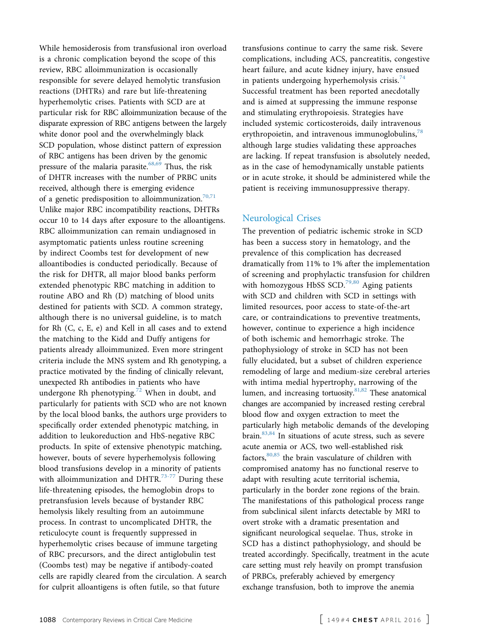While hemosiderosis from transfusional iron overload is a chronic complication beyond the scope of this review, RBC alloimmunization is occasionally responsible for severe delayed hemolytic transfusion reactions (DHTRs) and rare but life-threatening hyperhemolytic crises. Patients with SCD are at particular risk for RBC alloimmunization because of the disparate expression of RBC antigens between the largely white donor pool and the overwhelmingly black SCD population, whose distinct pattern of expression of RBC antigens has been driven by the genomic pressure of the malaria parasite.<sup>68,69</sup> Thus, the risk of DHTR increases with the number of PRBC units received, although there is emerging evidence of a genetic predisposition to alloimmunization.<sup>[70,71](#page-10-0)</sup> Unlike major RBC incompatibility reactions, DHTRs occur 10 to 14 days after exposure to the alloantigens. RBC alloimmunization can remain undiagnosed in asymptomatic patients unless routine screening by indirect Coombs test for development of new alloantibodies is conducted periodically. Because of the risk for DHTR, all major blood banks perform extended phenotypic RBC matching in addition to routine ABO and Rh (D) matching of blood units destined for patients with SCD. A common strategy, although there is no universal guideline, is to match for Rh (C, c, E, e) and Kell in all cases and to extend the matching to the Kidd and Duffy antigens for patients already alloimmunized. Even more stringent criteria include the MNS system and Rh genotyping, a practice motivated by the finding of clinically relevant, unexpected Rh antibodies in patients who have undergone Rh phenotyping.<sup>[72](#page-10-0)</sup> When in doubt, and particularly for patients with SCD who are not known by the local blood banks, the authors urge providers to specifically order extended phenotypic matching, in addition to leukoreduction and HbS-negative RBC products. In spite of extensive phenotypic matching, however, bouts of severe hyperhemolysis following blood transfusions develop in a minority of patients with alloimmunization and DHTR. $73-77$  During these life-threatening episodes, the hemoglobin drops to pretransfusion levels because of bystander RBC hemolysis likely resulting from an autoimmune process. In contrast to uncomplicated DHTR, the reticulocyte count is frequently suppressed in hyperhemolytic crises because of immune targeting of RBC precursors, and the direct antiglobulin test (Coombs test) may be negative if antibody-coated cells are rapidly cleared from the circulation. A search for culprit alloantigens is often futile, so that future

transfusions continue to carry the same risk. Severe complications, including ACS, pancreatitis, congestive heart failure, and acute kidney injury, have ensued in patients undergoing hyperhemolysis crisis. $74$ Successful treatment has been reported anecdotally and is aimed at suppressing the immune response and stimulating erythropoiesis. Strategies have included systemic corticosteroids, daily intravenous erythropoietin, and intravenous immunoglobulins, $^{78}$  $^{78}$  $^{78}$ although large studies validating these approaches are lacking. If repeat transfusion is absolutely needed, as in the case of hemodynamically unstable patients or in acute stroke, it should be administered while the patient is receiving immunosuppressive therapy.

#### Neurological Crises

The prevention of pediatric ischemic stroke in SCD has been a success story in hematology, and the prevalence of this complication has decreased dramatically from 11% to 1% after the implementation of screening and prophylactic transfusion for children with homozygous HbSS SCD.<sup>[79,80](#page-10-0)</sup> Aging patients with SCD and children with SCD in settings with limited resources, poor access to state-of-the-art care, or contraindications to preventive treatments, however, continue to experience a high incidence of both ischemic and hemorrhagic stroke. The pathophysiology of stroke in SCD has not been fully elucidated, but a subset of children experience remodeling of large and medium-size cerebral arteries with intima medial hypertrophy, narrowing of the lumen, and increasing tortuosity. $81,82$  These anatomical changes are accompanied by increased resting cerebral blood flow and oxygen extraction to meet the particularly high metabolic demands of the developing brain.[83,84](#page-10-0) In situations of acute stress, such as severe acute anemia or ACS, two well-established risk factors,  $80,85$  the brain vasculature of children with compromised anatomy has no functional reserve to adapt with resulting acute territorial ischemia, particularly in the border zone regions of the brain. The manifestations of this pathological process range from subclinical silent infarcts detectable by MRI to overt stroke with a dramatic presentation and significant neurological sequelae. Thus, stroke in SCD has a distinct pathophysiology, and should be treated accordingly. Specifically, treatment in the acute care setting must rely heavily on prompt transfusion of PRBCs, preferably achieved by emergency exchange transfusion, both to improve the anemia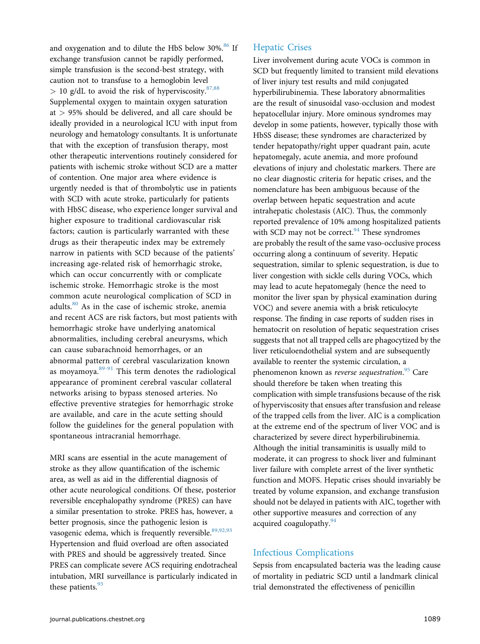and oxygenation and to dilute the HbS below 30%.<sup>[86](#page-10-0)</sup> If exchange transfusion cannot be rapidly performed, simple transfusion is the second-best strategy, with caution not to transfuse to a hemoglobin level  $> 10$  g/dL to avoid the risk of hyperviscosity.<sup>[87,88](#page-10-0)</sup> Supplemental oxygen to maintain oxygen saturation at > 95% should be delivered, and all care should be ideally provided in a neurological ICU with input from neurology and hematology consultants. It is unfortunate that with the exception of transfusion therapy, most other therapeutic interventions routinely considered for patients with ischemic stroke without SCD are a matter of contention. One major area where evidence is urgently needed is that of thrombolytic use in patients with SCD with acute stroke, particularly for patients with HbSC disease, who experience longer survival and higher exposure to traditional cardiovascular risk factors; caution is particularly warranted with these drugs as their therapeutic index may be extremely narrow in patients with SCD because of the patients' increasing age-related risk of hemorrhagic stroke, which can occur concurrently with or complicate ischemic stroke. Hemorrhagic stroke is the most common acute neurological complication of SCD in adults.[80](#page-10-0) As in the case of ischemic stroke, anemia and recent ACS are risk factors, but most patients with hemorrhagic stroke have underlying anatomical abnormalities, including cerebral aneurysms, which can cause subarachnoid hemorrhages, or an abnormal pattern of cerebral vascularization known as moyamoya.[89-91](#page-10-0) This term denotes the radiological appearance of prominent cerebral vascular collateral networks arising to bypass stenosed arteries. No effective preventive strategies for hemorrhagic stroke are available, and care in the acute setting should follow the guidelines for the general population with spontaneous intracranial hemorrhage.

MRI scans are essential in the acute management of stroke as they allow quantification of the ischemic area, as well as aid in the differential diagnosis of other acute neurological conditions. Of these, posterior reversible encephalopathy syndrome (PRES) can have a similar presentation to stroke. PRES has, however, a better prognosis, since the pathogenic lesion is vasogenic edema, which is frequently reversible.<sup>89,92,93</sup> Hypertension and fluid overload are often associated with PRES and should be aggressively treated. Since PRES can complicate severe ACS requiring endotracheal intubation, MRI surveillance is particularly indicated in these patients. $93$ 

### Hepatic Crises

Liver involvement during acute VOCs is common in SCD but frequently limited to transient mild elevations of liver injury test results and mild conjugated hyperbilirubinemia. These laboratory abnormalities are the result of sinusoidal vaso-occlusion and modest hepatocellular injury. More ominous syndromes may develop in some patients, however, typically those with HbSS disease; these syndromes are characterized by tender hepatopathy/right upper quadrant pain, acute hepatomegaly, acute anemia, and more profound elevations of injury and cholestatic markers. There are no clear diagnostic criteria for hepatic crises, and the nomenclature has been ambiguous because of the overlap between hepatic sequestration and acute intrahepatic cholestasis (AIC). Thus, the commonly reported prevalence of 10% among hospitalized patients with SCD may not be correct. $94$  These syndromes are probably the result of the same vaso-occlusive process occurring along a continuum of severity. Hepatic sequestration, similar to splenic sequestration, is due to liver congestion with sickle cells during VOCs, which may lead to acute hepatomegaly (hence the need to monitor the liver span by physical examination during VOC) and severe anemia with a brisk reticulocyte response. The finding in case reports of sudden rises in hematocrit on resolution of hepatic sequestration crises suggests that not all trapped cells are phagocytized by the liver reticuloendothelial system and are subsequently available to reenter the systemic circulation, a phenomenon known as *reverse sequestration.<sup>[95](#page-11-0)</sup> C*are should therefore be taken when treating this complication with simple transfusions because of the risk of hyperviscosity that ensues after transfusion and release of the trapped cells from the liver. AIC is a complication at the extreme end of the spectrum of liver VOC and is characterized by severe direct hyperbilirubinemia. Although the initial transaminitis is usually mild to moderate, it can progress to shock liver and fulminant liver failure with complete arrest of the liver synthetic function and MOFS. Hepatic crises should invariably be treated by volume expansion, and exchange transfusion should not be delayed in patients with AIC, together with other supportive measures and correction of any acquired coagulopathy.<sup>[94](#page-11-0)</sup>

## Infectious Complications

Sepsis from encapsulated bacteria was the leading cause of mortality in pediatric SCD until a landmark clinical trial demonstrated the effectiveness of penicillin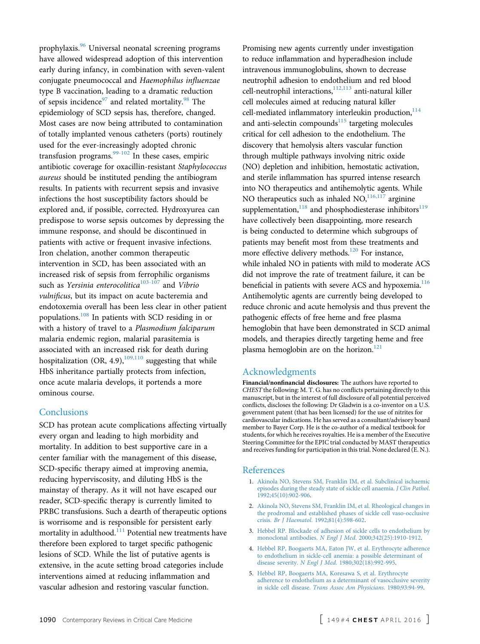<span id="page-8-0"></span>prophylaxis.[96](#page-11-0) Universal neonatal screening programs have allowed widespread adoption of this intervention early during infancy, in combination with seven-valent conjugate pneumococcal and Haemophilus influenzae type B vaccination, leading to a dramatic reduction of sepsis incidence $97$  and related mortality.<sup>[98](#page-11-0)</sup> The epidemiology of SCD sepsis has, therefore, changed. Most cases are now being attributed to contamination of totally implanted venous catheters (ports) routinely used for the ever-increasingly adopted chronic transfusion programs. $99-102$  In these cases, empiric antibiotic coverage for oxacillin-resistant Staphylococcus aureus should be instituted pending the antibiogram results. In patients with recurrent sepsis and invasive infections the host susceptibility factors should be explored and, if possible, corrected. Hydroxyurea can predispose to worse sepsis outcomes by depressing the immune response, and should be discontinued in patients with active or frequent invasive infections. Iron chelation, another common therapeutic intervention in SCD, has been associated with an increased risk of sepsis from ferrophilic organisms such as Yersinia enterocolitica<sup>[103-107](#page-11-0)</sup> and Vibrio vulnificus, but its impact on acute bacteremia and endotoxemia overall has been less clear in other patient populations.[108](#page-11-0) In patients with SCD residing in or with a history of travel to a Plasmodium falciparum malaria endemic region, malarial parasitemia is associated with an increased risk for death during hospitalization (OR, 4.9), $109,110$  suggesting that while HbS inheritance partially protects from infection, once acute malaria develops, it portends a more ominous course.

### **Conclusions**

SCD has protean acute complications affecting virtually every organ and leading to high morbidity and mortality. In addition to best supportive care in a center familiar with the management of this disease, SCD-specific therapy aimed at improving anemia, reducing hyperviscosity, and diluting HbS is the mainstay of therapy. As it will not have escaped our reader, SCD-specific therapy is currently limited to PRBC transfusions. Such a dearth of therapeutic options is worrisome and is responsible for persistent early mortality in adulthood.<sup>[111](#page-11-0)</sup> Potential new treatments have therefore been explored to target specific pathogenic lesions of SCD. While the list of putative agents is extensive, in the acute setting broad categories include interventions aimed at reducing inflammation and vascular adhesion and restoring vascular function.

Promising new agents currently under investigation to reduce inflammation and hyperadhesion include intravenous immunoglobulins, shown to decrease neutrophil adhesion to endothelium and red blood cell-neutrophil interactions, $\frac{112,113}{12}$  $\frac{112,113}{12}$  $\frac{112,113}{12}$  anti-natural killer cell molecules aimed at reducing natural killer cell-mediated inflammatory interleukin production, $114$ and anti-selectin compounds $115$  targeting molecules critical for cell adhesion to the endothelium. The discovery that hemolysis alters vascular function through multiple pathways involving nitric oxide (NO) depletion and inhibition, hemostatic activation, and sterile inflammation has spurred intense research into NO therapeutics and antihemolytic agents. While NO therapeutics such as inhaled  $NO$ ,  $^{116,117}$  $^{116,117}$  $^{116,117}$  arginine supplementation, $118$  and phosphodiesterase inhibitors $119$ have collectively been disappointing, more research is being conducted to determine which subgroups of patients may benefit most from these treatments and more effective delivery methods.<sup>[120](#page-11-0)</sup> For instance, while inhaled NO in patients with mild to moderate ACS did not improve the rate of treatment failure, it can be beneficial in patients with severe ACS and hypoxemia.<sup>[116](#page-11-0)</sup> Antihemolytic agents are currently being developed to reduce chronic and acute hemolysis and thus prevent the pathogenic effects of free heme and free plasma hemoglobin that have been demonstrated in SCD animal models, and therapies directly targeting heme and free plasma hemoglobin are on the horizon. $121$ 

### Acknowledgments

Financial/nonfinancial disclosures: The authors have reported to CHEST the following: M. T. G. has no conflicts pertaining directly to this manuscript, but in the interest of full disclosure of all potential perceived conflicts, discloses the following: Dr Gladwin is a co-inventor on a U.S. government patent (that has been licensed) for the use of nitrites for cardiovascular indications. He has served as a consultant/advisory board member to Bayer Corp. He is the co-author of a medical textbook for students, for which he receives royalties. He is a member of the Executive Steering Committee for the EPIC trial conducted by MAST therapeutics and receives funding for participation in this trial. None declared (E. N.).

#### References

- 1. [Akinola NO, Stevens SM, Franklin IM, et al. Subclinical ischaemic](http://refhub.elsevier.com/S0012-3692(15)00345-1/sref1) [episodes during the steady state of sickle cell anaemia.](http://refhub.elsevier.com/S0012-3692(15)00345-1/sref1) J Clin Pathol. [1992;45\(10\):902-906](http://refhub.elsevier.com/S0012-3692(15)00345-1/sref1).
- 2. [Akinola NO, Stevens SM, Franklin IM, et al. Rheological changes in](http://refhub.elsevier.com/S0012-3692(15)00345-1/sref2) [the prodromal and established phases of sickle cell vaso-occlusive](http://refhub.elsevier.com/S0012-3692(15)00345-1/sref2) crisis. Br J Haematol[. 1992;81\(4\):598-602.](http://refhub.elsevier.com/S0012-3692(15)00345-1/sref2)
- 3. [Hebbel RP. Blockade of adhesion of sickle cells to endothelium by](http://refhub.elsevier.com/S0012-3692(15)00345-1/sref3) monoclonal antibodies. N Engl J Med[. 2000;342\(25\):1910-1912](http://refhub.elsevier.com/S0012-3692(15)00345-1/sref3).
- 4. [Hebbel RP, Boogaerts MA, Eaton JW, et al. Erythrocyte adherence](http://refhub.elsevier.com/S0012-3692(15)00345-1/sref4) [to endothelium in sickle-cell anemia: a possible determinant of](http://refhub.elsevier.com/S0012-3692(15)00345-1/sref4) disease severity. N Engl J Med[. 1980;302\(18\):992-995](http://refhub.elsevier.com/S0012-3692(15)00345-1/sref4).
- 5. [Hebbel RP, Boogaerts MA, Koresawa S, et al. Erythrocyte](http://refhub.elsevier.com/S0012-3692(15)00345-1/sref5) [adherence to endothelium as a determinant of vasocclusive severity](http://refhub.elsevier.com/S0012-3692(15)00345-1/sref5) in sickle cell disease. [Trans Assoc Am Physicians](http://refhub.elsevier.com/S0012-3692(15)00345-1/sref5). 1980;93:94-99.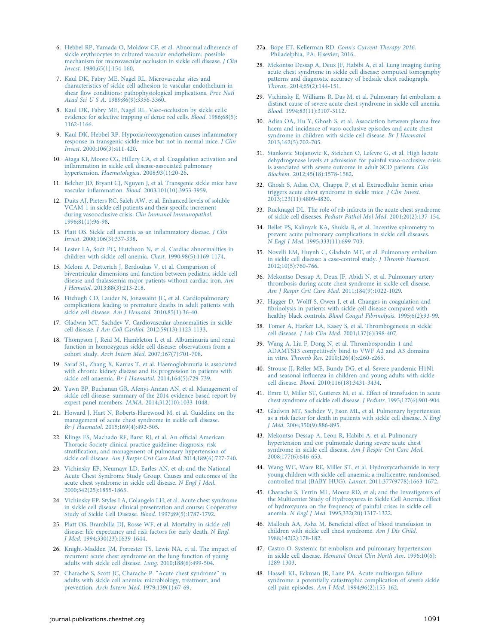- <span id="page-9-0"></span>6. [Hebbel RP, Yamada O, Moldow CF, et al. Abnormal adherence of](http://refhub.elsevier.com/S0012-3692(15)00345-1/sref6) [sickle erythrocytes to cultured vascular endothelium: possible](http://refhub.elsevier.com/S0012-3692(15)00345-1/sref6) [mechanism for microvascular occlusion in sickle cell disease.](http://refhub.elsevier.com/S0012-3692(15)00345-1/sref6) J Clin Invest[. 1980;65\(1\):154-160](http://refhub.elsevier.com/S0012-3692(15)00345-1/sref6).
- 7. [Kaul DK, Fabry ME, Nagel RL. Microvascular sites and](http://refhub.elsevier.com/S0012-3692(15)00345-1/sref7) [characteristics of sickle cell adhesion to vascular endothelium in](http://refhub.elsevier.com/S0012-3692(15)00345-1/sref7) shear fl[ow conditions: pathophysiological implications.](http://refhub.elsevier.com/S0012-3692(15)00345-1/sref7) Proc Natl Acad Sci U S A[. 1989;86\(9\):3356-3360](http://refhub.elsevier.com/S0012-3692(15)00345-1/sref7).
- 8. [Kaul DK, Fabry ME, Nagel RL. Vaso-occlusion by sickle cells:](http://refhub.elsevier.com/S0012-3692(15)00345-1/sref8) [evidence for selective trapping of dense red cells.](http://refhub.elsevier.com/S0012-3692(15)00345-1/sref8) Blood. 1986;68(5): [1162-1166.](http://refhub.elsevier.com/S0012-3692(15)00345-1/sref8)
- 9. [Kaul DK, Hebbel RP. Hypoxia/reoxygenation causes in](http://refhub.elsevier.com/S0012-3692(15)00345-1/sref9)flammatory [response in transgenic sickle mice but not in normal mice.](http://refhub.elsevier.com/S0012-3692(15)00345-1/sref9) J Clin Invest[. 2000;106\(3\):411-420](http://refhub.elsevier.com/S0012-3692(15)00345-1/sref9).
- 10. [Ataga KI, Moore CG, Hillery CA, et al. Coagulation activation and](http://refhub.elsevier.com/S0012-3692(15)00345-1/sref10) infl[ammation in sickle cell disease-associated pulmonary](http://refhub.elsevier.com/S0012-3692(15)00345-1/sref10) hypertension. Haematologica[. 2008;93\(1\):20-26](http://refhub.elsevier.com/S0012-3692(15)00345-1/sref10).
- 11. [Belcher JD, Bryant CJ, Nguyen J, et al. Transgenic sickle mice have](http://refhub.elsevier.com/S0012-3692(15)00345-1/sref11) vascular inflammation. Blood[. 2003;101\(10\):3953-3959](http://refhub.elsevier.com/S0012-3692(15)00345-1/sref11).
- 12. [Duits AJ, Pieters RC, Saleh AW, et al. Enhanced levels of soluble](http://refhub.elsevier.com/S0012-3692(15)00345-1/sref12) [VCAM-1 in sickle cell patients and their speci](http://refhub.elsevier.com/S0012-3692(15)00345-1/sref12)fic increment during vasoocclusive crisis. [Clin Immunol Immunopathol](http://refhub.elsevier.com/S0012-3692(15)00345-1/sref12). [1996;81\(1\):96-98](http://refhub.elsevier.com/S0012-3692(15)00345-1/sref12).
- 13. [Platt OS. Sickle cell anemia as an in](http://refhub.elsevier.com/S0012-3692(15)00345-1/sref13)flammatory disease. J Clin Invest[. 2000;106\(3\):337-338.](http://refhub.elsevier.com/S0012-3692(15)00345-1/sref13)
- 14. [Lester LA, Sodt PC, Hutcheon N, et al. Cardiac abnormalities in](http://refhub.elsevier.com/S0012-3692(15)00345-1/sref14) [children with sickle cell anemia.](http://refhub.elsevier.com/S0012-3692(15)00345-1/sref14) Chest. 1990;98(5):1169-1174.
- 15. [Meloni A, Detterich J, Berdoukas V, et al. Comparison of](http://refhub.elsevier.com/S0012-3692(15)00345-1/sref15) [biventricular dimensions and function between pediatric sickle-cell](http://refhub.elsevier.com/S0012-3692(15)00345-1/sref15) [disease and thalassemia major patients without cardiac iron.](http://refhub.elsevier.com/S0012-3692(15)00345-1/sref15) Am J Hematol[. 2013;88\(3\):213-218](http://refhub.elsevier.com/S0012-3692(15)00345-1/sref15).
- 16. [Fitzhugh CD, Lauder N, Jonassaint JC, et al. Cardiopulmonary](http://refhub.elsevier.com/S0012-3692(15)00345-1/sref16) [complications leading to premature deaths in adult patients with](http://refhub.elsevier.com/S0012-3692(15)00345-1/sref16) sickle cell disease. Am J Hematol[. 2010;85\(1\):36-40.](http://refhub.elsevier.com/S0012-3692(15)00345-1/sref16)
- 17. [Gladwin MT, Sachdev V. Cardiovascular abnormalities in sickle](http://refhub.elsevier.com/S0012-3692(15)00345-1/sref17) cell disease. J Am Coll Cardiol[. 2012;59\(13\):1123-1133](http://refhub.elsevier.com/S0012-3692(15)00345-1/sref17).
- 18. [Thompson J, Reid M, Hambleton I, et al. Albuminuria and renal](http://refhub.elsevier.com/S0012-3692(15)00345-1/sref18) [function in homozygous sickle cell disease: observations from a](http://refhub.elsevier.com/S0012-3692(15)00345-1/sref18) cohort study. Arch Intern Med[. 2007;167\(7\):701-708](http://refhub.elsevier.com/S0012-3692(15)00345-1/sref18).
- 19. [Saraf SL, Zhang X, Kanias T, et al. Haemoglobinuria is associated](http://refhub.elsevier.com/S0012-3692(15)00345-1/sref19) [with chronic kidney disease and its progression in patients with](http://refhub.elsevier.com/S0012-3692(15)00345-1/sref19) sickle cell anaemia. Br J Haematol[. 2014;164\(5\):729-739](http://refhub.elsevier.com/S0012-3692(15)00345-1/sref19).
- 20. [Yawn BP, Buchanan GR, Afenyi-Annan AN, et al. Management of](http://refhub.elsevier.com/S0012-3692(15)00345-1/sref20) [sickle cell disease: summary of the 2014 evidence-based report by](http://refhub.elsevier.com/S0012-3692(15)00345-1/sref20) expert panel members. JAMA[. 2014;312\(10\):1033-1048](http://refhub.elsevier.com/S0012-3692(15)00345-1/sref20).
- 21. [Howard J, Hart N, Roberts-Harewood M, et al. Guideline on the](http://refhub.elsevier.com/S0012-3692(15)00345-1/sref21) [management of acute chest syndrome in sickle cell disease.](http://refhub.elsevier.com/S0012-3692(15)00345-1/sref21) Br J Haematol[. 2015;169\(4\):492-505.](http://refhub.elsevier.com/S0012-3692(15)00345-1/sref21)
- 22. [Klings ES, Machado RF, Barst RJ, et al. An of](http://refhub.elsevier.com/S0012-3692(15)00345-1/sref22)ficial American [Thoracic Society clinical practice guideline: diagnosis, risk](http://refhub.elsevier.com/S0012-3692(15)00345-1/sref22) stratifi[cation, and management of pulmonary hypertension of](http://refhub.elsevier.com/S0012-3692(15)00345-1/sref22) sickle cell disease. [Am J Respir Crit Care Med](http://refhub.elsevier.com/S0012-3692(15)00345-1/sref22). 2014;189(6):727-740.
- 23. [Vichinsky EP, Neumayr LD, Earles AN, et al; and the National](http://refhub.elsevier.com/S0012-3692(15)00345-1/sref23) [Acute Chest Syndrome Study Group. Causes and outcomes of the](http://refhub.elsevier.com/S0012-3692(15)00345-1/sref23) [acute chest syndrome in sickle cell disease.](http://refhub.elsevier.com/S0012-3692(15)00345-1/sref23) N Engl J Med. [2000;342\(25\):1855-1865.](http://refhub.elsevier.com/S0012-3692(15)00345-1/sref23)
- 24. [Vichinsky EP, Styles LA, Colangelo LH, et al. Acute chest syndrome](http://refhub.elsevier.com/S0012-3692(15)00345-1/sref24) [in sickle cell disease: clinical presentation and course: Cooperative](http://refhub.elsevier.com/S0012-3692(15)00345-1/sref24) [Study of Sickle Cell Disease.](http://refhub.elsevier.com/S0012-3692(15)00345-1/sref24) Blood. 1997;89(5):1787-1792.
- 25. [Platt OS, Brambilla DJ, Rosse WF, et al. Mortality in sickle cell](http://refhub.elsevier.com/S0012-3692(15)00345-1/sref25) [disease: life expectancy and risk factors for early death.](http://refhub.elsevier.com/S0012-3692(15)00345-1/sref25) N Engl J Med[. 1994;330\(23\):1639-1644.](http://refhub.elsevier.com/S0012-3692(15)00345-1/sref25)
- 26. [Knight-Madden JM, Forrester TS, Lewis NA, et al. The impact of](http://refhub.elsevier.com/S0012-3692(15)00345-1/sref26) [recurrent acute chest syndrome on the lung function of young](http://refhub.elsevier.com/S0012-3692(15)00345-1/sref26) [adults with sickle cell disease.](http://refhub.elsevier.com/S0012-3692(15)00345-1/sref26) Lung. 2010;188(6):499-504.
- 27. [Charache S, Scott JC, Charache P.](http://refhub.elsevier.com/S0012-3692(15)00345-1/sref27) "Acute chest syndrome" in [adults with sickle cell anemia: microbiology, treatment, and](http://refhub.elsevier.com/S0012-3692(15)00345-1/sref27) prevention. Arch Intern Med[. 1979;139\(1\):67-69.](http://refhub.elsevier.com/S0012-3692(15)00345-1/sref27)
- 27a. [Bope ET, Kellerman RD.](http://refhub.elsevier.com/S0012-3692(15)00345-1/sref27a) Conn's Current Therapy 2016. [Philadelphia, PA: Elsevier; 2016](http://refhub.elsevier.com/S0012-3692(15)00345-1/sref27a).
- 28. [Mekontso Dessap A, Deux JF, Habibi A, et al. Lung imaging during](http://refhub.elsevier.com/S0012-3692(15)00345-1/sref28) [acute chest syndrome in sickle cell disease: computed tomography](http://refhub.elsevier.com/S0012-3692(15)00345-1/sref28) [patterns and diagnostic accuracy of bedside chest radiograph.](http://refhub.elsevier.com/S0012-3692(15)00345-1/sref28) Thorax[. 2014;69\(2\):144-151.](http://refhub.elsevier.com/S0012-3692(15)00345-1/sref28)
- 29. [Vichinsky E, Williams R, Das M, et al. Pulmonary fat embolism: a](http://refhub.elsevier.com/S0012-3692(15)00345-1/sref29) [distinct cause of severe acute chest syndrome in sickle cell anemia.](http://refhub.elsevier.com/S0012-3692(15)00345-1/sref29) Blood[. 1994;83\(11\):3107-3112.](http://refhub.elsevier.com/S0012-3692(15)00345-1/sref29)
- 30. [Adisa OA, Hu Y, Ghosh S, et al. Association between plasma free](http://refhub.elsevier.com/S0012-3692(15)00345-1/sref30) [haem and incidence of vaso-occlusive episodes and acute chest](http://refhub.elsevier.com/S0012-3692(15)00345-1/sref30) [syndrome in children with sickle cell disease.](http://refhub.elsevier.com/S0012-3692(15)00345-1/sref30) Br J Haematol. [2013;162\(5\):702-705.](http://refhub.elsevier.com/S0012-3692(15)00345-1/sref30)
- 31. [Stankovic Stojanovic K, Steichen O, Lefevre G, et al. High lactate](http://refhub.elsevier.com/S0012-3692(15)00345-1/sref31) [dehydrogenase levels at admission for painful vaso-occlusive crisis](http://refhub.elsevier.com/S0012-3692(15)00345-1/sref31) [is associated with severe outcome in adult SCD patients.](http://refhub.elsevier.com/S0012-3692(15)00345-1/sref31) Clin Biochem[. 2012;45\(18\):1578-1582](http://refhub.elsevier.com/S0012-3692(15)00345-1/sref31).
- 32. [Ghosh S, Adisa OA, Chappa P, et al. Extracellular hemin crisis](http://refhub.elsevier.com/S0012-3692(15)00345-1/sref32) [triggers acute chest syndrome in sickle mice.](http://refhub.elsevier.com/S0012-3692(15)00345-1/sref32) J Clin Invest. [2013;123\(11\):4809-4820.](http://refhub.elsevier.com/S0012-3692(15)00345-1/sref32)
- 33. [Rucknagel DL. The role of rib infarcts in the acute chest syndrome](http://refhub.elsevier.com/S0012-3692(15)00345-1/sref33) of sickle cell diseases. [Pediatr Pathol Mol Med](http://refhub.elsevier.com/S0012-3692(15)00345-1/sref33). 2001;20(2):137-154.
- 34. [Bellet PS, Kalinyak KA, Shukla R, et al. Incentive spirometry to](http://refhub.elsevier.com/S0012-3692(15)00345-1/sref34) [prevent acute pulmonary complications in sickle cell diseases.](http://refhub.elsevier.com/S0012-3692(15)00345-1/sref34) N Engl J Med[. 1995;333\(11\):699-703](http://refhub.elsevier.com/S0012-3692(15)00345-1/sref34).
- 35. [Novelli EM, Huynh C, Gladwin MT, et al. Pulmonary embolism](http://refhub.elsevier.com/S0012-3692(15)00345-1/sref35) [in sickle cell disease: a case-control study.](http://refhub.elsevier.com/S0012-3692(15)00345-1/sref35) J Thromb Haemost. [2012;10\(5\):760-766.](http://refhub.elsevier.com/S0012-3692(15)00345-1/sref35)
- 36. [Mekontso Dessap A, Deux JF, Abidi N, et al. Pulmonary artery](http://refhub.elsevier.com/S0012-3692(15)00345-1/sref36) [thrombosis during acute chest syndrome in sickle cell disease.](http://refhub.elsevier.com/S0012-3692(15)00345-1/sref36) [Am J Respir Crit Care Med](http://refhub.elsevier.com/S0012-3692(15)00345-1/sref36). 2011;184(9):1022-1029.
- 37. [Hagger D, Wolff S, Owen J, et al. Changes in coagulation and](http://refhub.elsevier.com/S0012-3692(15)00345-1/sref37) fi[brinolysis in patients with sickle cell disease compared with](http://refhub.elsevier.com/S0012-3692(15)00345-1/sref37) healthy black controls. [Blood Coagul Fibrinolysis](http://refhub.elsevier.com/S0012-3692(15)00345-1/sref37). 1995;6(2):93-99.
- 38. [Tomer A, Harker LA, Kasey S, et al. Thrombogenesis in sickle](http://refhub.elsevier.com/S0012-3692(15)00345-1/sref38) cell disease. J Lab Clin Med[. 2001;137\(6\):398-407.](http://refhub.elsevier.com/S0012-3692(15)00345-1/sref38)
- 39. [Wang A, Liu F, Dong N, et al. Thrombospondin-1 and](http://refhub.elsevier.com/S0012-3692(15)00345-1/sref39) [ADAMTS13 competitively bind to VWF A2 and A3 domains](http://refhub.elsevier.com/S0012-3692(15)00345-1/sref39) in vitro. Thromb Res[. 2010;126\(4\):e260-e265](http://refhub.elsevier.com/S0012-3692(15)00345-1/sref39).
- 40. [Strouse JJ, Reller ME, Bundy DG, et al. Severe pandemic H1N1](http://refhub.elsevier.com/S0012-3692(15)00345-1/sref40) and seasonal infl[uenza in children and young adults with sickle](http://refhub.elsevier.com/S0012-3692(15)00345-1/sref40) cell disease. Blood[. 2010;116\(18\):3431-3434.](http://refhub.elsevier.com/S0012-3692(15)00345-1/sref40)
- 41. [Emre U, Miller ST, Gutierez M, et al. Effect of transfusion in acute](http://refhub.elsevier.com/S0012-3692(15)00345-1/sref41) [chest syndrome of sickle cell disease.](http://refhub.elsevier.com/S0012-3692(15)00345-1/sref41) J Pediatr. 1995;127(6):901-904.
- 42. [Gladwin MT, Sachdev V, Jison ML, et al. Pulmonary hypertension](http://refhub.elsevier.com/S0012-3692(15)00345-1/sref42) [as a risk factor for death in patients with sickle cell disease.](http://refhub.elsevier.com/S0012-3692(15)00345-1/sref42) N Engl J Med[. 2004;350\(9\):886-895.](http://refhub.elsevier.com/S0012-3692(15)00345-1/sref42)
- 43. [Mekontso Dessap A, Leon R, Habibi A, et al. Pulmonary](http://refhub.elsevier.com/S0012-3692(15)00345-1/sref43) [hypertension and cor pulmonale during severe acute chest](http://refhub.elsevier.com/S0012-3692(15)00345-1/sref43) [syndrome in sickle cell disease.](http://refhub.elsevier.com/S0012-3692(15)00345-1/sref43) Am J Respir Crit Care Med. [2008;177\(6\):646-653.](http://refhub.elsevier.com/S0012-3692(15)00345-1/sref43)
- 44. [Wang WC, Ware RE, Miller ST, et al. Hydroxycarbamide in very](http://refhub.elsevier.com/S0012-3692(15)00345-1/sref44) [young children with sickle-cell anaemia: a multicentre, randomised,](http://refhub.elsevier.com/S0012-3692(15)00345-1/sref44) [controlled trial \(BABY HUG\).](http://refhub.elsevier.com/S0012-3692(15)00345-1/sref44) Lancet. 2011;377(9778):1663-1672.
- 45. [Charache S, Terrin ML, Moore RD, et al; and the Investigators of](http://refhub.elsevier.com/S0012-3692(15)00345-1/sref45) [the Multicenter Study of Hydroxyurea in Sickle Cell Anemia. Effect](http://refhub.elsevier.com/S0012-3692(15)00345-1/sref45) [of hydroxyurea on the frequency of painful crises in sickle cell](http://refhub.elsevier.com/S0012-3692(15)00345-1/sref45) anemia. N Engl J Med[. 1995;332\(20\):1317-1322](http://refhub.elsevier.com/S0012-3692(15)00345-1/sref45).
- 46. Mallouh AA, Asha M. Benefi[cial effect of blood transfusion in](http://refhub.elsevier.com/S0012-3692(15)00345-1/sref46) [children with sickle cell chest syndrome.](http://refhub.elsevier.com/S0012-3692(15)00345-1/sref46) Am J Dis Child. [1988;142\(2\):178-182.](http://refhub.elsevier.com/S0012-3692(15)00345-1/sref46)
- 47. [Castro O. Systemic fat embolism and pulmonary hypertension](http://refhub.elsevier.com/S0012-3692(15)00345-1/sref47) in sickle cell disease. [Hematol Oncol Clin North Am](http://refhub.elsevier.com/S0012-3692(15)00345-1/sref47). 1996;10(6): [1289-1303.](http://refhub.elsevier.com/S0012-3692(15)00345-1/sref47)
- 48. [Hassell KL, Eckman JR, Lane PA. Acute multiorgan failure](http://refhub.elsevier.com/S0012-3692(15)00345-1/sref48) [syndrome: a potentially catastrophic complication of severe sickle](http://refhub.elsevier.com/S0012-3692(15)00345-1/sref48) cell pain episodes. Am J Med[. 1994;96\(2\):155-162.](http://refhub.elsevier.com/S0012-3692(15)00345-1/sref48)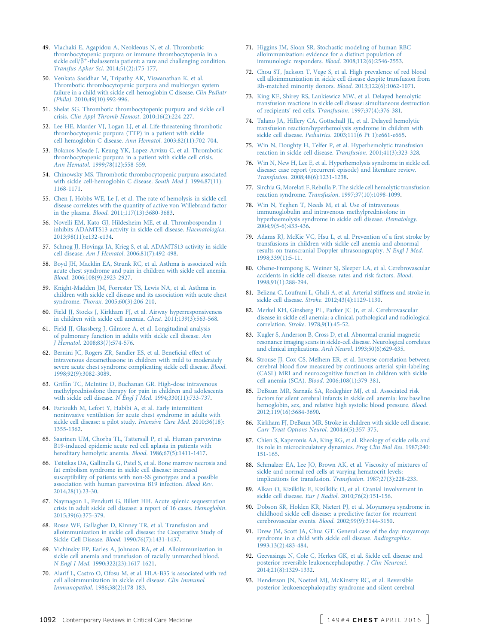- <span id="page-10-0"></span>49. [Vlachaki E, Agapidou A, Neokleous N, et al. Thrombotic](http://refhub.elsevier.com/S0012-3692(15)00345-1/sref49) [thrombocytopenic purpura or immune thrombocytopenia in a](http://refhub.elsevier.com/S0012-3692(15)00345-1/sref49) [sickle](http://refhub.elsevier.com/S0012-3692(15)00345-1/sref49) [cell/](http://refhub.elsevier.com/S0012-3692(15)00345-1/sref49) $\beta^+$ [-thalassemia patient: a rare and challenging condition.](http://refhub.elsevier.com/S0012-3692(15)00345-1/sref49) Transfus Apher Sci[. 2014;51\(2\):175-177](http://refhub.elsevier.com/S0012-3692(15)00345-1/sref49).
- 50. [Venkata Sasidhar M, Tripathy AK, Viswanathan K, et al.](http://refhub.elsevier.com/S0012-3692(15)00345-1/sref50) [Thrombotic thrombocytopenic purpura and multiorgan system](http://refhub.elsevier.com/S0012-3692(15)00345-1/sref50) [failure in a child with sickle cell-hemoglobin C disease.](http://refhub.elsevier.com/S0012-3692(15)00345-1/sref50) Clin Pediatr (Phila)[. 2010;49\(10\):992-996](http://refhub.elsevier.com/S0012-3692(15)00345-1/sref50).
- 51. [Shelat SG. Thrombotic thrombocytopenic purpura and sickle cell](http://refhub.elsevier.com/S0012-3692(15)00345-1/sref51) crisis. [Clin Appl Thromb Hemost](http://refhub.elsevier.com/S0012-3692(15)00345-1/sref51). 2010;16(2):224-227.
- 52. [Lee HE, Marder VJ, Logan LJ, et al. Life-threatening thrombotic](http://refhub.elsevier.com/S0012-3692(15)00345-1/sref52) [thrombocytopenic purpura \(TTP\) in a patient with sickle](http://refhub.elsevier.com/S0012-3692(15)00345-1/sref52) [cell-hemoglobin C disease.](http://refhub.elsevier.com/S0012-3692(15)00345-1/sref52) Ann Hematol. 2003;82(11):702-704.
- 53. [Bolanos-Meade J, Keung YK, Lopez-Arvizu C, et al. Thrombotic](http://refhub.elsevier.com/S0012-3692(15)00345-1/sref53) [thrombocytopenic purpura in a patient with sickle cell crisis.](http://refhub.elsevier.com/S0012-3692(15)00345-1/sref53) Ann Hematol[. 1999;78\(12\):558-559](http://refhub.elsevier.com/S0012-3692(15)00345-1/sref53).
- 54. [Chinowsky MS. Thrombotic thrombocytopenic purpura associated](http://refhub.elsevier.com/S0012-3692(15)00345-1/sref54) [with sickle cell-hemoglobin C disease.](http://refhub.elsevier.com/S0012-3692(15)00345-1/sref54) South Med J. 1994;87(11): [1168-1171.](http://refhub.elsevier.com/S0012-3692(15)00345-1/sref54)
- 55. [Chen J, Hobbs WE, Le J, et al. The rate of hemolysis in sickle cell](http://refhub.elsevier.com/S0012-3692(15)00345-1/sref55) [disease correlates with the quantity of active von Willebrand factor](http://refhub.elsevier.com/S0012-3692(15)00345-1/sref55) in the plasma. Blood[. 2011;117\(13\):3680-3683](http://refhub.elsevier.com/S0012-3692(15)00345-1/sref55).
- 56. [Novelli EM, Kato GJ, Hildesheim ME, et al. Thrombospondin-1](http://refhub.elsevier.com/S0012-3692(15)00345-1/sref56) [inhibits ADAMTS13 activity in sickle cell disease.](http://refhub.elsevier.com/S0012-3692(15)00345-1/sref56) Haematologica. [2013;98\(11\):e132-e134](http://refhub.elsevier.com/S0012-3692(15)00345-1/sref56).
- 57. [Schnog JJ, Hovinga JA, Krieg S, et al. ADAMTS13 activity in sickle](http://refhub.elsevier.com/S0012-3692(15)00345-1/sref57) cell disease. Am J Hematol[. 2006;81\(7\):492-498.](http://refhub.elsevier.com/S0012-3692(15)00345-1/sref57)
- 58. [Boyd JH, Macklin EA, Strunk RC, et al. Asthma is associated with](http://refhub.elsevier.com/S0012-3692(15)00345-1/sref58) [acute chest syndrome and pain in children with sickle cell anemia.](http://refhub.elsevier.com/S0012-3692(15)00345-1/sref58) Blood[. 2006;108\(9\):2923-2927.](http://refhub.elsevier.com/S0012-3692(15)00345-1/sref58)
- 59. [Knight-Madden JM, Forrester TS, Lewis NA, et al. Asthma in](http://refhub.elsevier.com/S0012-3692(15)00345-1/sref59) [children with sickle cell disease and its association with acute chest](http://refhub.elsevier.com/S0012-3692(15)00345-1/sref59) syndrome. Thorax[. 2005;60\(3\):206-210.](http://refhub.elsevier.com/S0012-3692(15)00345-1/sref59)
- 60. [Field JJ, Stocks J, Kirkham FJ, et al. Airway hyperresponsiveness](http://refhub.elsevier.com/S0012-3692(15)00345-1/sref60) [in children with sickle cell anemia.](http://refhub.elsevier.com/S0012-3692(15)00345-1/sref60) Chest. 2011;139(3):563-568.
- 61. [Field JJ, Glassberg J, Gilmore A, et al. Longitudinal analysis](http://refhub.elsevier.com/S0012-3692(15)00345-1/sref61) [of pulmonary function in adults with sickle cell disease.](http://refhub.elsevier.com/S0012-3692(15)00345-1/sref61) Am J Hematol[. 2008;83\(7\):574-576.](http://refhub.elsevier.com/S0012-3692(15)00345-1/sref61)
- 62. [Bernini JC, Rogers ZR, Sandler ES, et al. Bene](http://refhub.elsevier.com/S0012-3692(15)00345-1/sref62)ficial effect of [intravenous dexamethasone in children with mild to moderately](http://refhub.elsevier.com/S0012-3692(15)00345-1/sref62) [severe acute chest syndrome complicating sickle cell disease.](http://refhub.elsevier.com/S0012-3692(15)00345-1/sref62) Blood. [1998;92\(9\):3082-3089](http://refhub.elsevier.com/S0012-3692(15)00345-1/sref62).
- 63. Griffi[n TC, McIntire D, Buchanan GR. High-dose intravenous](http://refhub.elsevier.com/S0012-3692(15)00345-1/sref63) [methylprednisolone therapy for pain in children and adolescents](http://refhub.elsevier.com/S0012-3692(15)00345-1/sref63) with sickle cell disease. N Engl J Med[. 1994;330\(11\):733-737.](http://refhub.elsevier.com/S0012-3692(15)00345-1/sref63)
- 64. [Fartoukh M, Lefort Y, Habibi A, et al. Early intermittent](http://refhub.elsevier.com/S0012-3692(15)00345-1/sref64) [noninvasive ventilation for acute chest syndrome in adults with](http://refhub.elsevier.com/S0012-3692(15)00345-1/sref64) [sickle cell disease: a pilot study.](http://refhub.elsevier.com/S0012-3692(15)00345-1/sref64) Intensive Care Med. 2010;36(18): [1355-1362.](http://refhub.elsevier.com/S0012-3692(15)00345-1/sref64)
- 65. [Saarinen UM, Chorba TL, Tattersall P, et al. Human parvovirus](http://refhub.elsevier.com/S0012-3692(15)00345-1/sref65) [B19-induced epidemic acute red cell aplasia in patients with](http://refhub.elsevier.com/S0012-3692(15)00345-1/sref65) [hereditary hemolytic anemia.](http://refhub.elsevier.com/S0012-3692(15)00345-1/sref65) Blood. 1986;67(5):1411-1417.
- 66. [Tsitsikas DA, Gallinella G, Patel S, et al. Bone marrow necrosis and](http://refhub.elsevier.com/S0012-3692(15)00345-1/sref66) [fat embolism syndrome in sickle cell disease: increased](http://refhub.elsevier.com/S0012-3692(15)00345-1/sref66) [susceptibility of patients with non-SS genotypes and a possible](http://refhub.elsevier.com/S0012-3692(15)00345-1/sref66) [association with human parvovirus B19 infection.](http://refhub.elsevier.com/S0012-3692(15)00345-1/sref66) Blood Rev. [2014;28\(1\):23-30.](http://refhub.elsevier.com/S0012-3692(15)00345-1/sref66)
- 67. [Naymagon L, Pendurti G, Billett HH. Acute splenic sequestration](http://refhub.elsevier.com/S0012-3692(15)00345-1/sref67) [crisis in adult sickle cell disease: a report of 16 cases.](http://refhub.elsevier.com/S0012-3692(15)00345-1/sref67) Hemoglobin. [2015;39\(6\):375-379](http://refhub.elsevier.com/S0012-3692(15)00345-1/sref67).
- 68. [Rosse WF, Gallagher D, Kinney TR, et al. Transfusion and](http://refhub.elsevier.com/S0012-3692(15)00345-1/sref68) [alloimmunization in sickle cell disease: the Cooperative Study of](http://refhub.elsevier.com/S0012-3692(15)00345-1/sref68) Sickle Cell Disease. Blood[. 1990;76\(7\):1431-1437](http://refhub.elsevier.com/S0012-3692(15)00345-1/sref68).
- 69. [Vichinsky EP, Earles A, Johnson RA, et al. Alloimmunization in](http://refhub.elsevier.com/S0012-3692(15)00345-1/sref69) [sickle cell anemia and transfusion of racially unmatched blood.](http://refhub.elsevier.com/S0012-3692(15)00345-1/sref69) N Engl J Med[. 1990;322\(23\):1617-1621.](http://refhub.elsevier.com/S0012-3692(15)00345-1/sref69)
- 70. [Alarif L, Castro O, Ofosu M, et al. HLA-B35 is associated with red](http://refhub.elsevier.com/S0012-3692(15)00345-1/sref70) [cell alloimmunization in sickle cell disease.](http://refhub.elsevier.com/S0012-3692(15)00345-1/sref70) Clin Immunol Immunopathol[. 1986;38\(2\):178-183](http://refhub.elsevier.com/S0012-3692(15)00345-1/sref70).
- 71. [Higgins JM, Sloan SR. Stochastic modeling of human RBC](http://refhub.elsevier.com/S0012-3692(15)00345-1/sref71) [alloimmunization: evidence for a distinct population of](http://refhub.elsevier.com/S0012-3692(15)00345-1/sref71) [immunologic responders.](http://refhub.elsevier.com/S0012-3692(15)00345-1/sref71) Blood. 2008;112(6):2546-2553.
- 72. [Chou ST, Jackson T, Vege S, et al. High prevalence of red blood](http://refhub.elsevier.com/S0012-3692(15)00345-1/sref72) [cell alloimmunization in sickle cell disease despite transfusion from](http://refhub.elsevier.com/S0012-3692(15)00345-1/sref72) [Rh-matched minority donors.](http://refhub.elsevier.com/S0012-3692(15)00345-1/sref72) Blood. 2013;122(6):1062-1071.
- 73. [King KE, Shirey RS, Lankiewicz MW, et al. Delayed hemolytic](http://refhub.elsevier.com/S0012-3692(15)00345-1/sref73) [transfusion reactions in sickle cell disease: simultaneous destruction](http://refhub.elsevier.com/S0012-3692(15)00345-1/sref73) of recipients' red cells. Transfusion[. 1997;37\(4\):376-381.](http://refhub.elsevier.com/S0012-3692(15)00345-1/sref73)
- 74. [Talano JA, Hillery CA, Gottschall JL, et al. Delayed hemolytic](http://refhub.elsevier.com/S0012-3692(15)00345-1/sref74) [transfusion reaction/hyperhemolysis syndrome in children with](http://refhub.elsevier.com/S0012-3692(15)00345-1/sref74) sickle cell disease. Pediatrics[. 2003;111\(6 Pt 1\):e661-e665.](http://refhub.elsevier.com/S0012-3692(15)00345-1/sref74)
- 75. [Win N, Doughty H, Telfer P, et al. Hyperhemolytic transfusion](http://refhub.elsevier.com/S0012-3692(15)00345-1/sref75) [reaction in sickle cell disease.](http://refhub.elsevier.com/S0012-3692(15)00345-1/sref75) Transfusion. 2001;41(3):323-328.
- 76. [Win N, New H, Lee E, et al. Hyperhemolysis syndrome in sickle cell](http://refhub.elsevier.com/S0012-3692(15)00345-1/sref76) [disease: case report \(recurrent episode\) and literature review.](http://refhub.elsevier.com/S0012-3692(15)00345-1/sref76) Transfusion[. 2008;48\(6\):1231-1238](http://refhub.elsevier.com/S0012-3692(15)00345-1/sref76).
- 77. [Sirchia G, Morelati F, Rebulla P. The sickle cell hemolytic transfusion](http://refhub.elsevier.com/S0012-3692(15)00345-1/sref77) reaction syndrome. Transfusion[. 1997;37\(10\):1098-1099.](http://refhub.elsevier.com/S0012-3692(15)00345-1/sref77)
- 78. [Win N, Yeghen T, Needs M, et al. Use of intravenous](http://refhub.elsevier.com/S0012-3692(15)00345-1/sref78) [immunoglobulin and intravenous methylprednisolone in](http://refhub.elsevier.com/S0012-3692(15)00345-1/sref78) [hyperhaemolysis syndrome in sickle cell disease.](http://refhub.elsevier.com/S0012-3692(15)00345-1/sref78) Hematology. [2004;9\(5-6\):433-436.](http://refhub.elsevier.com/S0012-3692(15)00345-1/sref78)
- 79. [Adams RJ, McKie VC, Hsu L, et al. Prevention of a](http://refhub.elsevier.com/S0012-3692(15)00345-1/sref79) first stroke by [transfusions in children with sickle cell anemia and abnormal](http://refhub.elsevier.com/S0012-3692(15)00345-1/sref79) [results on transcranial Doppler ultrasonography.](http://refhub.elsevier.com/S0012-3692(15)00345-1/sref79) N Engl J Med. [1998;339\(1\):5-11.](http://refhub.elsevier.com/S0012-3692(15)00345-1/sref79)
- 80. [Ohene-Frempong K, Weiner SJ, Sleeper LA, et al. Cerebrovascular](http://refhub.elsevier.com/S0012-3692(15)00345-1/sref80) [accidents in sickle cell disease: rates and risk factors.](http://refhub.elsevier.com/S0012-3692(15)00345-1/sref80) Blood. [1998;91\(1\):288-294](http://refhub.elsevier.com/S0012-3692(15)00345-1/sref80).
- 81. [Belizna C, Loufrani L, Ghali A, et al. Arterial stiffness and stroke in](http://refhub.elsevier.com/S0012-3692(15)00345-1/sref81) sickle cell disease. Stroke[. 2012;43\(4\):1129-1130.](http://refhub.elsevier.com/S0012-3692(15)00345-1/sref81)
- 82. [Merkel KH, Ginsberg PL, Parker JC Jr, et al. Cerebrovascular](http://refhub.elsevier.com/S0012-3692(15)00345-1/sref82) [disease in sickle cell anemia: a clinical, pathological and radiological](http://refhub.elsevier.com/S0012-3692(15)00345-1/sref82) correlation. Stroke[. 1978;9\(1\):45-52](http://refhub.elsevier.com/S0012-3692(15)00345-1/sref82).
- 83. [Kugler S, Anderson B, Cross D, et al. Abnormal cranial magnetic](http://refhub.elsevier.com/S0012-3692(15)00345-1/sref83) [resonance imaging scans in sickle-cell disease. Neurological correlates](http://refhub.elsevier.com/S0012-3692(15)00345-1/sref83) [and clinical implications.](http://refhub.elsevier.com/S0012-3692(15)00345-1/sref83) Arch Neurol. 1993;50(6):629-635.
- 84. [Strouse JJ, Cox CS, Melhem ER, et al. Inverse correlation between](http://refhub.elsevier.com/S0012-3692(15)00345-1/sref84) cerebral blood fl[ow measured by continuous arterial spin-labeling](http://refhub.elsevier.com/S0012-3692(15)00345-1/sref84) [\(CASL\) MRI and neurocognitive function in children with sickle](http://refhub.elsevier.com/S0012-3692(15)00345-1/sref84) cell anemia (SCA). Blood[. 2006;108\(1\):379-381.](http://refhub.elsevier.com/S0012-3692(15)00345-1/sref84)
- 85. [DeBaun MR, Sarnaik SA, Rodeghier MJ, et al. Associated risk](http://refhub.elsevier.com/S0012-3692(15)00345-1/sref85) [factors for silent cerebral infarcts in sickle cell anemia: low baseline](http://refhub.elsevier.com/S0012-3692(15)00345-1/sref85) [hemoglobin, sex, and relative high systolic blood pressure.](http://refhub.elsevier.com/S0012-3692(15)00345-1/sref85) Blood. [2012;119\(16\):3684-3690.](http://refhub.elsevier.com/S0012-3692(15)00345-1/sref85)
- 86. [Kirkham FJ, DeBaun MR. Stroke in children with sickle cell disease.](http://refhub.elsevier.com/S0012-3692(15)00345-1/sref86) [Curr Treat Options Neurol](http://refhub.elsevier.com/S0012-3692(15)00345-1/sref86). 2004;6(5):357-375.
- 87. [Chien S, Kaperonis AA, King RG, et al. Rheology of sickle cells and](http://refhub.elsevier.com/S0012-3692(15)00345-1/sref87) [its role in microcirculatory dynamics.](http://refhub.elsevier.com/S0012-3692(15)00345-1/sref87) Prog Clin Biol Res. 1987;240: [151-165.](http://refhub.elsevier.com/S0012-3692(15)00345-1/sref87)
- 88. [Schmalzer EA, Lee JO, Brown AK, et al. Viscosity of mixtures of](http://refhub.elsevier.com/S0012-3692(15)00345-1/sref88) [sickle and normal red cells at varying hematocrit levels:](http://refhub.elsevier.com/S0012-3692(15)00345-1/sref88) [implications for transfusion.](http://refhub.elsevier.com/S0012-3692(15)00345-1/sref88) Transfusion. 1987;27(3):228-233.
- 89. [Alkan O, Kizilkilic E, Kizilkilic O, et al. Cranial involvement in](http://refhub.elsevier.com/S0012-3692(15)00345-1/sref89) sickle cell disease. Eur J Radiol[. 2010;76\(2\):151-156](http://refhub.elsevier.com/S0012-3692(15)00345-1/sref89).
- 90. [Dobson SR, Holden KR, Nietert PJ, et al. Moyamoya syndrome in](http://refhub.elsevier.com/S0012-3692(15)00345-1/sref90) [childhood sickle cell disease: a predictive factor for recurrent](http://refhub.elsevier.com/S0012-3692(15)00345-1/sref90) [cerebrovascular events.](http://refhub.elsevier.com/S0012-3692(15)00345-1/sref90) Blood. 2002;99(9):3144-3150.
- 91. [Drew JM, Scott JA, Chua GT. General case of the day: moyamoya](http://refhub.elsevier.com/S0012-3692(15)00345-1/sref91) [syndrome in a child with sickle cell disease.](http://refhub.elsevier.com/S0012-3692(15)00345-1/sref91) Radiographics. [1993;13\(2\):483-484](http://refhub.elsevier.com/S0012-3692(15)00345-1/sref91).
- 92. [Geevasinga N, Cole C, Herkes GK, et al. Sickle cell disease and](http://refhub.elsevier.com/S0012-3692(15)00345-1/sref92) [posterior reversible leukoencephalopathy.](http://refhub.elsevier.com/S0012-3692(15)00345-1/sref92) J Clin Neurosci. [2014;21\(8\):1329-1332.](http://refhub.elsevier.com/S0012-3692(15)00345-1/sref92)
- 93. [Henderson JN, Noetzel MJ, McKinstry RC, et al. Reversible](http://refhub.elsevier.com/S0012-3692(15)00345-1/sref93) [posterior leukoencephalopathy syndrome and silent cerebral](http://refhub.elsevier.com/S0012-3692(15)00345-1/sref93)